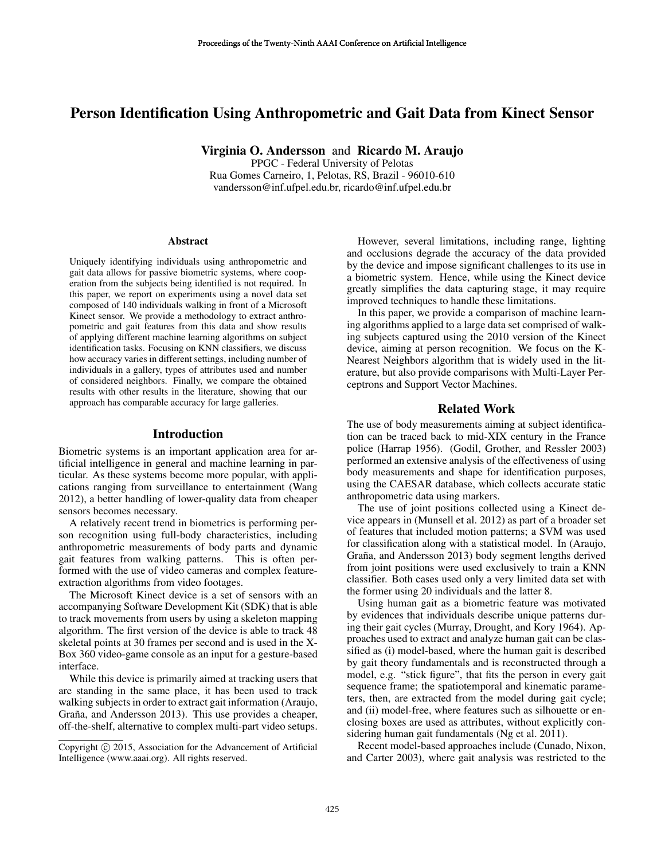# Person Identification Using Anthropometric and Gait Data from Kinect Sensor

Virginia O. Andersson and Ricardo M. Araujo

PPGC - Federal University of Pelotas Rua Gomes Carneiro, 1, Pelotas, RS, Brazil - 96010-610 vandersson@inf.ufpel.edu.br, ricardo@inf.ufpel.edu.br

#### Abstract

Uniquely identifying individuals using anthropometric and gait data allows for passive biometric systems, where cooperation from the subjects being identified is not required. In this paper, we report on experiments using a novel data set composed of 140 individuals walking in front of a Microsoft Kinect sensor. We provide a methodology to extract anthropometric and gait features from this data and show results of applying different machine learning algorithms on subject identification tasks. Focusing on KNN classifiers, we discuss how accuracy varies in different settings, including number of individuals in a gallery, types of attributes used and number of considered neighbors. Finally, we compare the obtained results with other results in the literature, showing that our approach has comparable accuracy for large galleries.

### Introduction

Biometric systems is an important application area for artificial intelligence in general and machine learning in particular. As these systems become more popular, with applications ranging from surveillance to entertainment (Wang 2012), a better handling of lower-quality data from cheaper sensors becomes necessary.

A relatively recent trend in biometrics is performing person recognition using full-body characteristics, including anthropometric measurements of body parts and dynamic gait features from walking patterns. This is often performed with the use of video cameras and complex featureextraction algorithms from video footages.

The Microsoft Kinect device is a set of sensors with an accompanying Software Development Kit (SDK) that is able to track movements from users by using a skeleton mapping algorithm. The first version of the device is able to track 48 skeletal points at 30 frames per second and is used in the X-Box 360 video-game console as an input for a gesture-based interface.

While this device is primarily aimed at tracking users that are standing in the same place, it has been used to track walking subjects in order to extract gait information (Araujo, Graña, and Andersson 2013). This use provides a cheaper, off-the-shelf, alternative to complex multi-part video setups.

However, several limitations, including range, lighting and occlusions degrade the accuracy of the data provided by the device and impose significant challenges to its use in a biometric system. Hence, while using the Kinect device greatly simplifies the data capturing stage, it may require improved techniques to handle these limitations.

In this paper, we provide a comparison of machine learning algorithms applied to a large data set comprised of walking subjects captured using the 2010 version of the Kinect device, aiming at person recognition. We focus on the K-Nearest Neighbors algorithm that is widely used in the literature, but also provide comparisons with Multi-Layer Perceptrons and Support Vector Machines.

#### Related Work

The use of body measurements aiming at subject identification can be traced back to mid-XIX century in the France police (Harrap 1956). (Godil, Grother, and Ressler 2003) performed an extensive analysis of the effectiveness of using body measurements and shape for identification purposes, using the CAESAR database, which collects accurate static anthropometric data using markers.

The use of joint positions collected using a Kinect device appears in (Munsell et al. 2012) as part of a broader set of features that included motion patterns; a SVM was used for classification along with a statistical model. In (Araujo, Graña, and Andersson 2013) body segment lengths derived from joint positions were used exclusively to train a KNN classifier. Both cases used only a very limited data set with the former using 20 individuals and the latter 8.

Using human gait as a biometric feature was motivated by evidences that individuals describe unique patterns during their gait cycles (Murray, Drought, and Kory 1964). Approaches used to extract and analyze human gait can be classified as (i) model-based, where the human gait is described by gait theory fundamentals and is reconstructed through a model, e.g. "stick figure", that fits the person in every gait sequence frame; the spatiotemporal and kinematic parameters, then, are extracted from the model during gait cycle; and (ii) model-free, where features such as silhouette or enclosing boxes are used as attributes, without explicitly considering human gait fundamentals (Ng et al. 2011).

Recent model-based approaches include (Cunado, Nixon, and Carter 2003), where gait analysis was restricted to the

Copyright © 2015, Association for the Advancement of Artificial Intelligence (www.aaai.org). All rights reserved.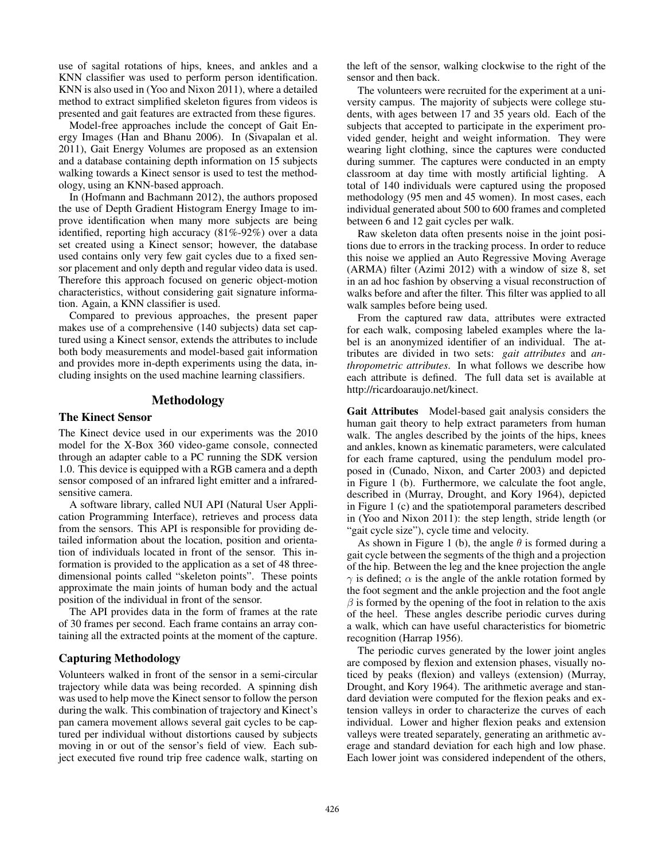use of sagital rotations of hips, knees, and ankles and a KNN classifier was used to perform person identification. KNN is also used in (Yoo and Nixon 2011), where a detailed method to extract simplified skeleton figures from videos is presented and gait features are extracted from these figures.

Model-free approaches include the concept of Gait Energy Images (Han and Bhanu 2006). In (Sivapalan et al. 2011), Gait Energy Volumes are proposed as an extension and a database containing depth information on 15 subjects walking towards a Kinect sensor is used to test the methodology, using an KNN-based approach.

In (Hofmann and Bachmann 2012), the authors proposed the use of Depth Gradient Histogram Energy Image to improve identification when many more subjects are being identified, reporting high accuracy (81%-92%) over a data set created using a Kinect sensor; however, the database used contains only very few gait cycles due to a fixed sensor placement and only depth and regular video data is used. Therefore this approach focused on generic object-motion characteristics, without considering gait signature information. Again, a KNN classifier is used.

Compared to previous approaches, the present paper makes use of a comprehensive (140 subjects) data set captured using a Kinect sensor, extends the attributes to include both body measurements and model-based gait information and provides more in-depth experiments using the data, including insights on the used machine learning classifiers.

# Methodology

### The Kinect Sensor

The Kinect device used in our experiments was the 2010 model for the X-Box 360 video-game console, connected through an adapter cable to a PC running the SDK version 1.0. This device is equipped with a RGB camera and a depth sensor composed of an infrared light emitter and a infraredsensitive camera.

A software library, called NUI API (Natural User Application Programming Interface), retrieves and process data from the sensors. This API is responsible for providing detailed information about the location, position and orientation of individuals located in front of the sensor. This information is provided to the application as a set of 48 threedimensional points called "skeleton points". These points approximate the main joints of human body and the actual position of the individual in front of the sensor.

The API provides data in the form of frames at the rate of 30 frames per second. Each frame contains an array containing all the extracted points at the moment of the capture.

### Capturing Methodology

Volunteers walked in front of the sensor in a semi-circular trajectory while data was being recorded. A spinning dish was used to help move the Kinect sensor to follow the person during the walk. This combination of trajectory and Kinect's pan camera movement allows several gait cycles to be captured per individual without distortions caused by subjects moving in or out of the sensor's field of view. Each subject executed five round trip free cadence walk, starting on

the left of the sensor, walking clockwise to the right of the sensor and then back.

The volunteers were recruited for the experiment at a university campus. The majority of subjects were college students, with ages between 17 and 35 years old. Each of the subjects that accepted to participate in the experiment provided gender, height and weight information. They were wearing light clothing, since the captures were conducted during summer. The captures were conducted in an empty classroom at day time with mostly artificial lighting. A total of 140 individuals were captured using the proposed methodology (95 men and 45 women). In most cases, each individual generated about 500 to 600 frames and completed between 6 and 12 gait cycles per walk.

Raw skeleton data often presents noise in the joint positions due to errors in the tracking process. In order to reduce this noise we applied an Auto Regressive Moving Average (ARMA) filter (Azimi 2012) with a window of size 8, set in an ad hoc fashion by observing a visual reconstruction of walks before and after the filter. This filter was applied to all walk samples before being used.

From the captured raw data, attributes were extracted for each walk, composing labeled examples where the label is an anonymized identifier of an individual. The attributes are divided in two sets: *gait attributes* and *anthropometric attributes*. In what follows we describe how each attribute is defined. The full data set is available at http://ricardoaraujo.net/kinect.

Gait Attributes Model-based gait analysis considers the human gait theory to help extract parameters from human walk. The angles described by the joints of the hips, knees and ankles, known as kinematic parameters, were calculated for each frame captured, using the pendulum model proposed in (Cunado, Nixon, and Carter 2003) and depicted in Figure 1 (b). Furthermore, we calculate the foot angle, described in (Murray, Drought, and Kory 1964), depicted in Figure 1 (c) and the spatiotemporal parameters described in (Yoo and Nixon 2011): the step length, stride length (or "gait cycle size"), cycle time and velocity.

As shown in Figure 1 (b), the angle  $\theta$  is formed during a gait cycle between the segments of the thigh and a projection of the hip. Between the leg and the knee projection the angle  $\gamma$  is defined;  $\alpha$  is the angle of the ankle rotation formed by the foot segment and the ankle projection and the foot angle  $\beta$  is formed by the opening of the foot in relation to the axis of the heel. These angles describe periodic curves during a walk, which can have useful characteristics for biometric recognition (Harrap 1956).

The periodic curves generated by the lower joint angles are composed by flexion and extension phases, visually noticed by peaks (flexion) and valleys (extension) (Murray, Drought, and Kory 1964). The arithmetic average and standard deviation were computed for the flexion peaks and extension valleys in order to characterize the curves of each individual. Lower and higher flexion peaks and extension valleys were treated separately, generating an arithmetic average and standard deviation for each high and low phase. Each lower joint was considered independent of the others,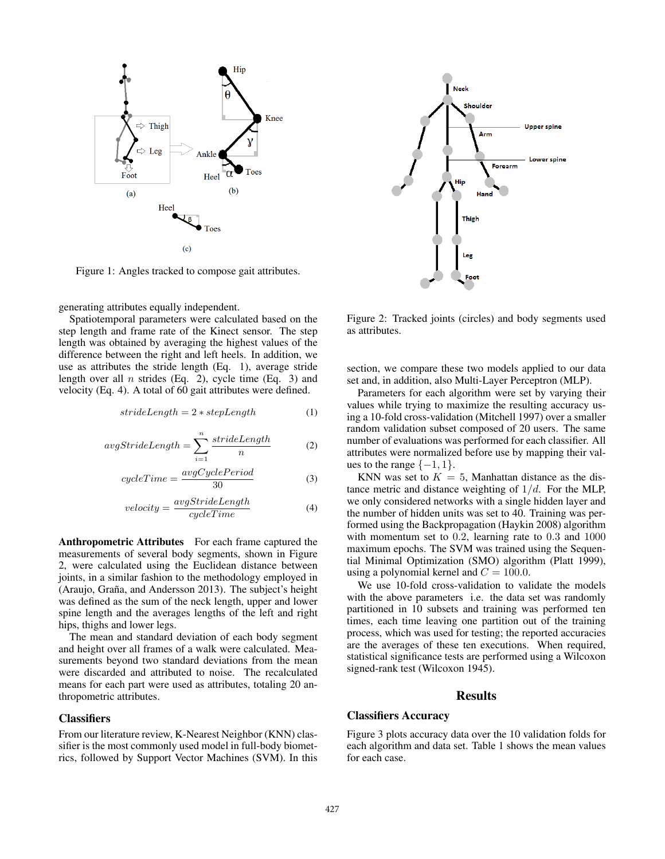

Figure 1: Angles tracked to compose gait attributes.

generating attributes equally independent.

Spatiotemporal parameters were calculated based on the step length and frame rate of the Kinect sensor. The step length was obtained by averaging the highest values of the difference between the right and left heels. In addition, we use as attributes the stride length (Eq. 1), average stride length over all  $n$  strides (Eq. 2), cycle time (Eq. 3) and velocity (Eq. 4). A total of 60 gait attributes were defined.

$$
strideLength = 2 * stepLength
$$
 (1)

$$
avgStrideLength = \sum_{i=1}^{n} \frac{strideLength}{n}
$$
 (2)

$$
cycleTime = \frac{avgCyclePeriod}{30} \tag{3}
$$

$$
velocity = \frac{avgStrideLength}{cycleTime}
$$
 (4)

Anthropometric Attributes For each frame captured the measurements of several body segments, shown in Figure 2, were calculated using the Euclidean distance between joints, in a similar fashion to the methodology employed in  $(Araujo, Graña, and Anderson 2013)$ . The subject's height was defined as the sum of the neck length, upper and lower spine length and the averages lengths of the left and right hips, thighs and lower legs.

The mean and standard deviation of each body segment and height over all frames of a walk were calculated. Measurements beyond two standard deviations from the mean were discarded and attributed to noise. The recalculated means for each part were used as attributes, totaling 20 anthropometric attributes.

### **Classifiers**

From our literature review, K-Nearest Neighbor (KNN) classifier is the most commonly used model in full-body biometrics, followed by Support Vector Machines (SVM). In this



Figure 2: Tracked joints (circles) and body segments used as attributes.

section, we compare these two models applied to our data set and, in addition, also Multi-Layer Perceptron (MLP).

Parameters for each algorithm were set by varying their values while trying to maximize the resulting accuracy using a 10-fold cross-validation (Mitchell 1997) over a smaller random validation subset composed of 20 users. The same number of evaluations was performed for each classifier. All attributes were normalized before use by mapping their values to the range  $\{-1, 1\}$ .

KNN was set to  $K = 5$ , Manhattan distance as the distance metric and distance weighting of  $1/d$ . For the MLP, we only considered networks with a single hidden layer and the number of hidden units was set to 40. Training was performed using the Backpropagation (Haykin 2008) algorithm with momentum set to 0.2, learning rate to 0.3 and 1000 maximum epochs. The SVM was trained using the Sequential Minimal Optimization (SMO) algorithm (Platt 1999), using a polynomial kernel and  $C = 100.0$ .

We use 10-fold cross-validation to validate the models with the above parameters i.e. the data set was randomly partitioned in 10 subsets and training was performed ten times, each time leaving one partition out of the training process, which was used for testing; the reported accuracies are the averages of these ten executions. When required, statistical significance tests are performed using a Wilcoxon signed-rank test (Wilcoxon 1945).

#### **Results**

# Classifiers Accuracy

Figure 3 plots accuracy data over the 10 validation folds for each algorithm and data set. Table 1 shows the mean values for each case.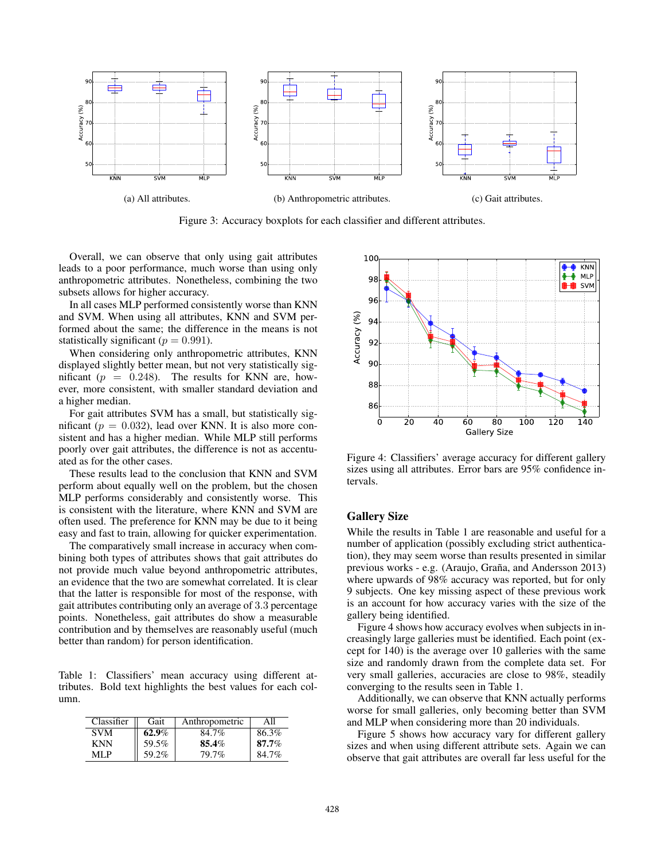

Figure 3: Accuracy boxplots for each classifier and different attributes.

Overall, we can observe that only using gait attributes leads to a poor performance, much worse than using only anthropometric attributes. Nonetheless, combining the two subsets allows for higher accuracy.

In all cases MLP performed consistently worse than KNN and SVM. When using all attributes, KNN and SVM performed about the same; the difference in the means is not statistically significant ( $p = 0.991$ ).

When considering only anthropometric attributes, KNN displayed slightly better mean, but not very statistically significant ( $p = 0.248$ ). The results for KNN are, however, more consistent, with smaller standard deviation and a higher median.

For gait attributes SVM has a small, but statistically significant ( $p = 0.032$ ), lead over KNN. It is also more consistent and has a higher median. While MLP still performs poorly over gait attributes, the difference is not as accentuated as for the other cases.

These results lead to the conclusion that KNN and SVM perform about equally well on the problem, but the chosen MLP performs considerably and consistently worse. This is consistent with the literature, where KNN and SVM are often used. The preference for KNN may be due to it being easy and fast to train, allowing for quicker experimentation.

The comparatively small increase in accuracy when combining both types of attributes shows that gait attributes do not provide much value beyond anthropometric attributes, an evidence that the two are somewhat correlated. It is clear that the latter is responsible for most of the response, with gait attributes contributing only an average of 3.3 percentage points. Nonetheless, gait attributes do show a measurable contribution and by themselves are reasonably useful (much better than random) for person identification.

Table 1: Classifiers' mean accuracy using different attributes. Bold text highlights the best values for each column.

| Classifier | Gait     | Anthropometric | All   |
|------------|----------|----------------|-------|
| <b>SVM</b> | $62.9\%$ | 84.7%          | 86.3% |
| <b>KNN</b> | 59.5%    | 85.4%          | 87.7% |
| MI P       | 59.2%    | 79.7%          | 84.7% |



Figure 4: Classifiers' average accuracy for different gallery sizes using all attributes. Error bars are 95% confidence intervals.

### Gallery Size

While the results in Table 1 are reasonable and useful for a number of application (possibly excluding strict authentication), they may seem worse than results presented in similar previous works - e.g. (Araujo, Graña, and Andersson 2013) where upwards of 98% accuracy was reported, but for only 9 subjects. One key missing aspect of these previous work is an account for how accuracy varies with the size of the gallery being identified.

Figure 4 shows how accuracy evolves when subjects in increasingly large galleries must be identified. Each point (except for 140) is the average over 10 galleries with the same size and randomly drawn from the complete data set. For very small galleries, accuracies are close to 98%, steadily converging to the results seen in Table 1.

Additionally, we can observe that KNN actually performs worse for small galleries, only becoming better than SVM and MLP when considering more than 20 individuals.

Figure 5 shows how accuracy vary for different gallery sizes and when using different attribute sets. Again we can observe that gait attributes are overall far less useful for the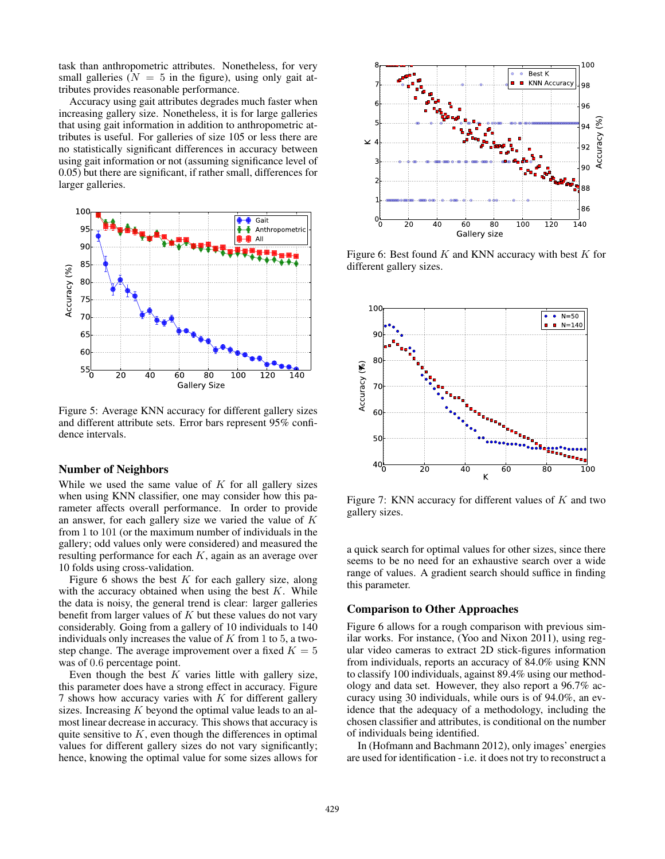task than anthropometric attributes. Nonetheless, for very small galleries ( $N = 5$  in the figure), using only gait attributes provides reasonable performance.

Accuracy using gait attributes degrades much faster when increasing gallery size. Nonetheless, it is for large galleries that using gait information in addition to anthropometric attributes is useful. For galleries of size 105 or less there are no statistically significant differences in accuracy between using gait information or not (assuming significance level of 0.05) but there are significant, if rather small, differences for larger galleries.



Figure 5: Average KNN accuracy for different gallery sizes and different attribute sets. Error bars represent 95% confidence intervals.

#### Number of Neighbors

While we used the same value of  $K$  for all gallery sizes when using KNN classifier, one may consider how this parameter affects overall performance. In order to provide an answer, for each gallery size we varied the value of K from 1 to 101 (or the maximum number of individuals in the gallery; odd values only were considered) and measured the resulting performance for each  $K$ , again as an average over 10 folds using cross-validation.

Figure 6 shows the best  $K$  for each gallery size, along with the accuracy obtained when using the best  $K$ . While the data is noisy, the general trend is clear: larger galleries benefit from larger values of  $K$  but these values do not vary considerably. Going from a gallery of 10 individuals to 140 individuals only increases the value of  $K$  from 1 to 5, a twostep change. The average improvement over a fixed  $K = 5$ was of 0.6 percentage point.

Even though the best  $K$  varies little with gallery size, this parameter does have a strong effect in accuracy. Figure 7 shows how accuracy varies with  $K$  for different gallery sizes. Increasing  $K$  beyond the optimal value leads to an almost linear decrease in accuracy. This shows that accuracy is quite sensitive to  $K$ , even though the differences in optimal values for different gallery sizes do not vary significantly; hence, knowing the optimal value for some sizes allows for



Figure 6: Best found  $K$  and KNN accuracy with best  $K$  for different gallery sizes.



Figure 7: KNN accuracy for different values of  $K$  and two gallery sizes.

a quick search for optimal values for other sizes, since there seems to be no need for an exhaustive search over a wide range of values. A gradient search should suffice in finding this parameter.

#### Comparison to Other Approaches

Figure 6 allows for a rough comparison with previous similar works. For instance, (Yoo and Nixon 2011), using regular video cameras to extract 2D stick-figures information from individuals, reports an accuracy of 84.0% using KNN to classify 100 individuals, against 89.4% using our methodology and data set. However, they also report a 96.7% accuracy using 30 individuals, while ours is of 94.0%, an evidence that the adequacy of a methodology, including the chosen classifier and attributes, is conditional on the number of individuals being identified.

In (Hofmann and Bachmann 2012), only images' energies are used for identification - i.e. it does not try to reconstruct a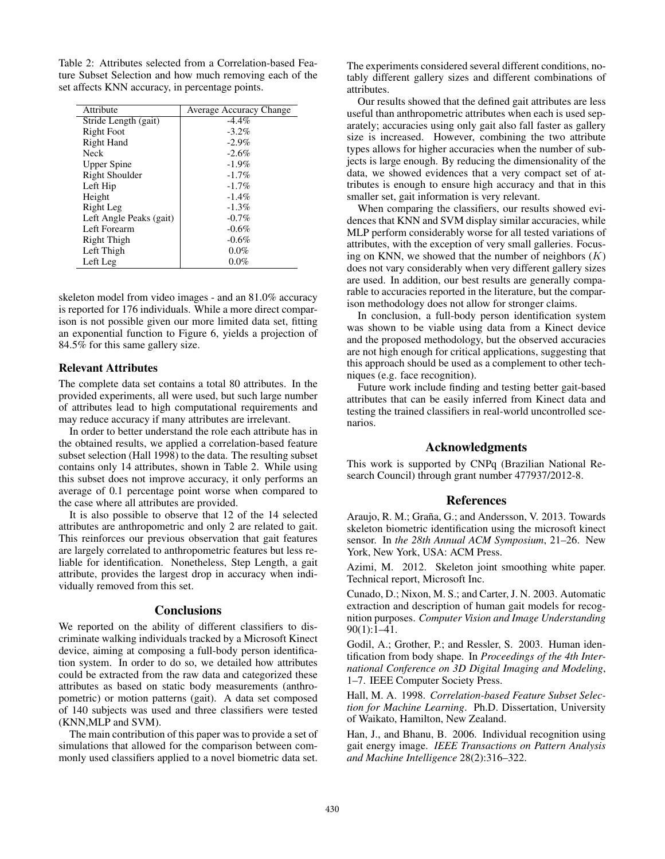Table 2: Attributes selected from a Correlation-based Feature Subset Selection and how much removing each of the set affects KNN accuracy, in percentage points.

| Attribute               | Average Accuracy Change |  |
|-------------------------|-------------------------|--|
| Stride Length (gait)    | $-4.4\%$                |  |
| <b>Right Foot</b>       | $-3.2\%$                |  |
| <b>Right Hand</b>       | $-2.9\%$                |  |
| Neck                    | $-2.6%$                 |  |
| <b>Upper Spine</b>      | $-1.9\%$                |  |
| Right Shoulder          | $-1.7\%$                |  |
| Left Hip                | $-1.7\%$                |  |
| Height                  | $-1.4%$                 |  |
| Right Leg               | $-1.3\%$                |  |
| Left Angle Peaks (gait) | $-0.7\%$                |  |
| Left Forearm            | $-0.6%$                 |  |
| Right Thigh             | $-0.6%$                 |  |
| Left Thigh              | $0.0\%$                 |  |
| Left Leg                | $0.0\%$                 |  |

skeleton model from video images - and an 81.0% accuracy is reported for 176 individuals. While a more direct comparison is not possible given our more limited data set, fitting an exponential function to Figure 6, yields a projection of 84.5% for this same gallery size.

### Relevant Attributes

The complete data set contains a total 80 attributes. In the provided experiments, all were used, but such large number of attributes lead to high computational requirements and may reduce accuracy if many attributes are irrelevant.

In order to better understand the role each attribute has in the obtained results, we applied a correlation-based feature subset selection (Hall 1998) to the data. The resulting subset contains only 14 attributes, shown in Table 2. While using this subset does not improve accuracy, it only performs an average of 0.1 percentage point worse when compared to the case where all attributes are provided.

It is also possible to observe that 12 of the 14 selected attributes are anthropometric and only 2 are related to gait. This reinforces our previous observation that gait features are largely correlated to anthropometric features but less reliable for identification. Nonetheless, Step Length, a gait attribute, provides the largest drop in accuracy when individually removed from this set.

### **Conclusions**

We reported on the ability of different classifiers to discriminate walking individuals tracked by a Microsoft Kinect device, aiming at composing a full-body person identification system. In order to do so, we detailed how attributes could be extracted from the raw data and categorized these attributes as based on static body measurements (anthropometric) or motion patterns (gait). A data set composed of 140 subjects was used and three classifiers were tested (KNN,MLP and SVM).

The main contribution of this paper was to provide a set of simulations that allowed for the comparison between commonly used classifiers applied to a novel biometric data set. The experiments considered several different conditions, notably different gallery sizes and different combinations of attributes.

Our results showed that the defined gait attributes are less useful than anthropometric attributes when each is used separately; accuracies using only gait also fall faster as gallery size is increased. However, combining the two attribute types allows for higher accuracies when the number of subjects is large enough. By reducing the dimensionality of the data, we showed evidences that a very compact set of attributes is enough to ensure high accuracy and that in this smaller set, gait information is very relevant.

When comparing the classifiers, our results showed evidences that KNN and SVM display similar accuracies, while MLP perform considerably worse for all tested variations of attributes, with the exception of very small galleries. Focusing on KNN, we showed that the number of neighbors  $(K)$ does not vary considerably when very different gallery sizes are used. In addition, our best results are generally comparable to accuracies reported in the literature, but the comparison methodology does not allow for stronger claims.

In conclusion, a full-body person identification system was shown to be viable using data from a Kinect device and the proposed methodology, but the observed accuracies are not high enough for critical applications, suggesting that this approach should be used as a complement to other techniques (e.g. face recognition).

Future work include finding and testing better gait-based attributes that can be easily inferred from Kinect data and testing the trained classifiers in real-world uncontrolled scenarios.

# Acknowledgments

This work is supported by CNPq (Brazilian National Research Council) through grant number 477937/2012-8.

### **References**

Araujo, R. M.; Graña, G.; and Andersson, V. 2013. Towards skeleton biometric identification using the microsoft kinect sensor. In *the 28th Annual ACM Symposium*, 21–26. New York, New York, USA: ACM Press.

Azimi, M. 2012. Skeleton joint smoothing white paper. Technical report, Microsoft Inc.

Cunado, D.; Nixon, M. S.; and Carter, J. N. 2003. Automatic extraction and description of human gait models for recognition purposes. *Computer Vision and Image Understanding* 90(1):1–41.

Godil, A.; Grother, P.; and Ressler, S. 2003. Human identification from body shape. In *Proceedings of the 4th International Conference on 3D Digital Imaging and Modeling*, 1–7. IEEE Computer Society Press.

Hall, M. A. 1998. *Correlation-based Feature Subset Selection for Machine Learning*. Ph.D. Dissertation, University of Waikato, Hamilton, New Zealand.

Han, J., and Bhanu, B. 2006. Individual recognition using gait energy image. *IEEE Transactions on Pattern Analysis and Machine Intelligence* 28(2):316–322.